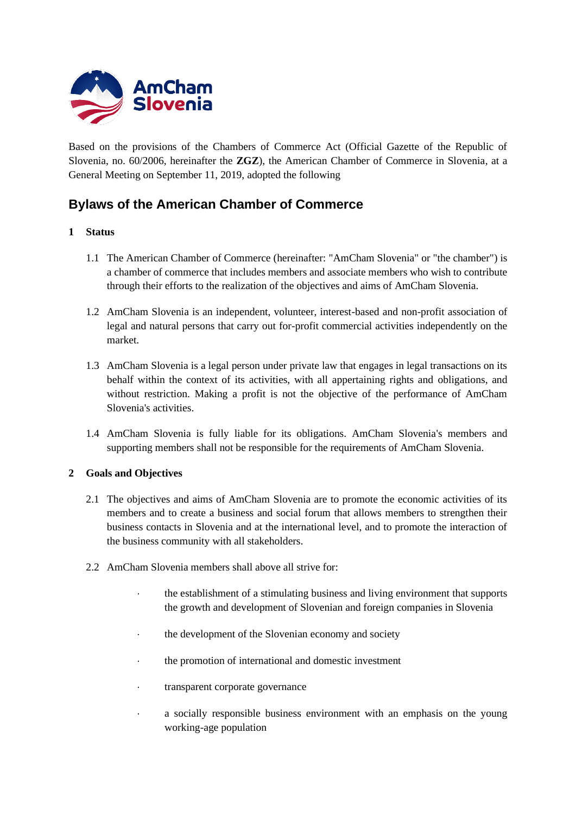

Based on the provisions of the Chambers of Commerce Act (Official Gazette of the Republic of Slovenia, no. 60/2006, hereinafter the **ZGZ**), the American Chamber of Commerce in Slovenia, at a General Meeting on September 11, 2019, adopted the following

# **Bylaws of the American Chamber of Commerce**

## **1 Status**

- 1.1 The American Chamber of Commerce (hereinafter: "AmCham Slovenia" or "the chamber") is a chamber of commerce that includes members and associate members who wish to contribute through their efforts to the realization of the objectives and aims of AmCham Slovenia.
- 1.2 AmCham Slovenia is an independent, volunteer, interest-based and non-profit association of legal and natural persons that carry out for-profit commercial activities independently on the market.
- 1.3 AmCham Slovenia is a legal person under private law that engages in legal transactions on its behalf within the context of its activities, with all appertaining rights and obligations, and without restriction. Making a profit is not the objective of the performance of AmCham Slovenia's activities.
- 1.4 AmCham Slovenia is fully liable for its obligations. AmCham Slovenia's members and supporting members shall not be responsible for the requirements of AmCham Slovenia.

## **2 Goals and Objectives**

- 2.1 The objectives and aims of AmCham Slovenia are to promote the economic activities of its members and to create a business and social forum that allows members to strengthen their business contacts in Slovenia and at the international level, and to promote the interaction of the business community with all stakeholders.
- 2.2 AmCham Slovenia members shall above all strive for:
	- the establishment of a stimulating business and living environment that supports the growth and development of Slovenian and foreign companies in Slovenia
	- the development of the Slovenian economy and society
	- the promotion of international and domestic investment
	- transparent corporate governance
	- a socially responsible business environment with an emphasis on the young working-age population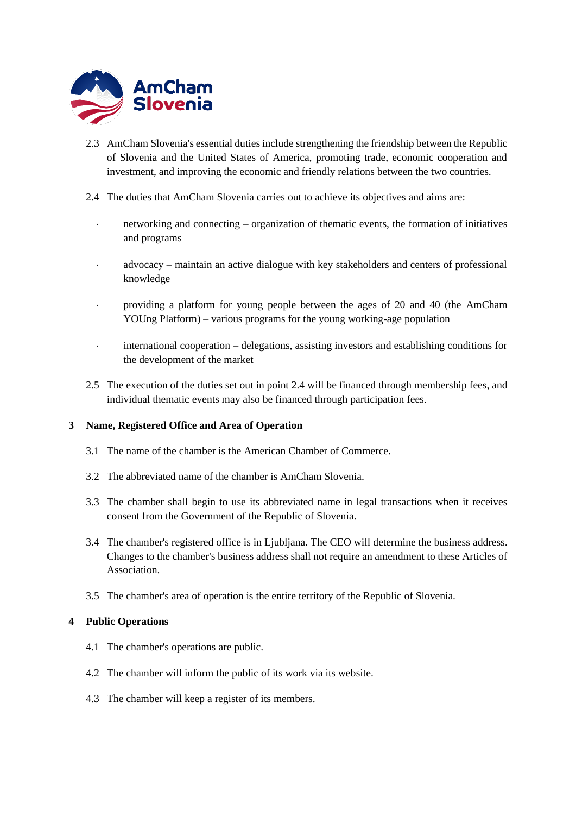

- 2.3 AmCham Slovenia's essential duties include strengthening the friendship between the Republic of Slovenia and the United States of America, promoting trade, economic cooperation and investment, and improving the economic and friendly relations between the two countries.
- 2.4 The duties that AmCham Slovenia carries out to achieve its objectives and aims are:
	- networking and connecting organization of thematic events, the formation of initiatives and programs
	- advocacy maintain an active dialogue with key stakeholders and centers of professional knowledge
	- providing a platform for young people between the ages of 20 and 40 (the AmCham YOUng Platform) – various programs for the young working-age population
	- international cooperation delegations, assisting investors and establishing conditions for the development of the market
- 2.5 The execution of the duties set out in point 2.4 will be financed through membership fees, and individual thematic events may also be financed through participation fees.

## **3 Name, Registered Office and Area of Operation**

- 3.1 The name of the chamber is the American Chamber of Commerce.
- 3.2 The abbreviated name of the chamber is AmCham Slovenia.
- 3.3 The chamber shall begin to use its abbreviated name in legal transactions when it receives consent from the Government of the Republic of Slovenia.
- 3.4 The chamber's registered office is in Ljubljana. The CEO will determine the business address. Changes to the chamber's business address shall not require an amendment to these Articles of Association.
- 3.5 The chamber's area of operation is the entire territory of the Republic of Slovenia.

## **4 Public Operations**

- 4.1 The chamber's operations are public.
- 4.2 The chamber will inform the public of its work via its website.
- 4.3 The chamber will keep a register of its members.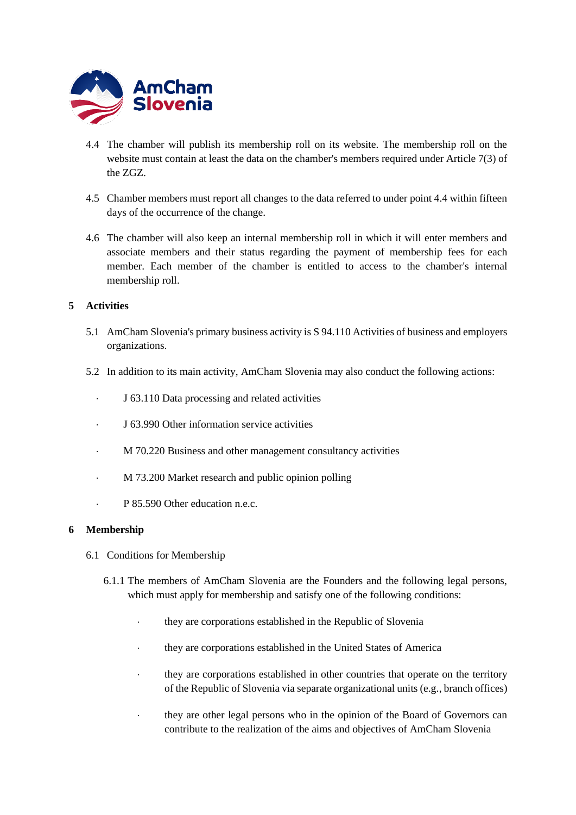

- 4.4 The chamber will publish its membership roll on its website. The membership roll on the website must contain at least the data on the chamber's members required under Article 7(3) of the ZGZ.
- 4.5 Chamber members must report all changes to the data referred to under point 4.4 within fifteen days of the occurrence of the change.
- 4.6 The chamber will also keep an internal membership roll in which it will enter members and associate members and their status regarding the payment of membership fees for each member. Each member of the chamber is entitled to access to the chamber's internal membership roll.

## **5 Activities**

- 5.1 AmCham Slovenia's primary business activity is S 94.110 Activities of business and employers organizations.
- 5.2 In addition to its main activity, AmCham Slovenia may also conduct the following actions:
	- J 63.110 Data processing and related activities
	- J 63.990 Other information service activities
	- M 70.220 Business and other management consultancy activities
	- M 73.200 Market research and public opinion polling
	- P 85.590 Other education n.e.c.

#### **6 Membership**

- 6.1 Conditions for Membership
	- 6.1.1 The members of AmCham Slovenia are the Founders and the following legal persons, which must apply for membership and satisfy one of the following conditions:
		- they are corporations established in the Republic of Slovenia
		- they are corporations established in the United States of America
		- they are corporations established in other countries that operate on the territory of the Republic of Slovenia via separate organizational units (e.g., branch offices)
		- they are other legal persons who in the opinion of the Board of Governors can contribute to the realization of the aims and objectives of AmCham Slovenia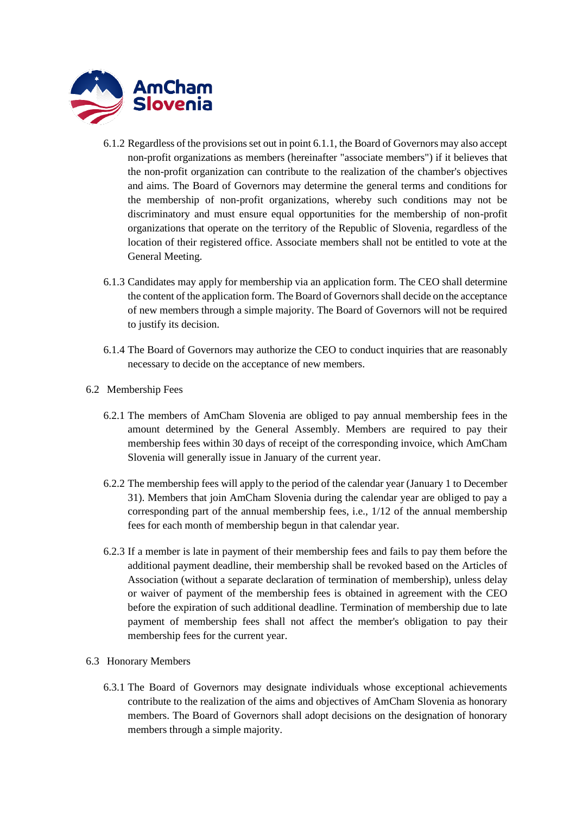

- 6.1.2 Regardless of the provisions set out in point 6.1.1, the Board of Governors may also accept non-profit organizations as members (hereinafter "associate members") if it believes that the non-profit organization can contribute to the realization of the chamber's objectives and aims. The Board of Governors may determine the general terms and conditions for the membership of non-profit organizations, whereby such conditions may not be discriminatory and must ensure equal opportunities for the membership of non-profit organizations that operate on the territory of the Republic of Slovenia, regardless of the location of their registered office. Associate members shall not be entitled to vote at the General Meeting.
- 6.1.3 Candidates may apply for membership via an application form. The CEO shall determine the content of the application form. The Board of Governors shall decide on the acceptance of new members through a simple majority. The Board of Governors will not be required to justify its decision.
- 6.1.4 The Board of Governors may authorize the CEO to conduct inquiries that are reasonably necessary to decide on the acceptance of new members.
- 6.2 Membership Fees
	- 6.2.1 The members of AmCham Slovenia are obliged to pay annual membership fees in the amount determined by the General Assembly. Members are required to pay their membership fees within 30 days of receipt of the corresponding invoice, which AmCham Slovenia will generally issue in January of the current year.
	- 6.2.2 The membership fees will apply to the period of the calendar year (January 1 to December 31). Members that join AmCham Slovenia during the calendar year are obliged to pay a corresponding part of the annual membership fees, i.e., 1/12 of the annual membership fees for each month of membership begun in that calendar year.
	- 6.2.3 If a member is late in payment of their membership fees and fails to pay them before the additional payment deadline, their membership shall be revoked based on the Articles of Association (without a separate declaration of termination of membership), unless delay or waiver of payment of the membership fees is obtained in agreement with the CEO before the expiration of such additional deadline. Termination of membership due to late payment of membership fees shall not affect the member's obligation to pay their membership fees for the current year.
- 6.3 Honorary Members
	- 6.3.1 The Board of Governors may designate individuals whose exceptional achievements contribute to the realization of the aims and objectives of AmCham Slovenia as honorary members. The Board of Governors shall adopt decisions on the designation of honorary members through a simple majority.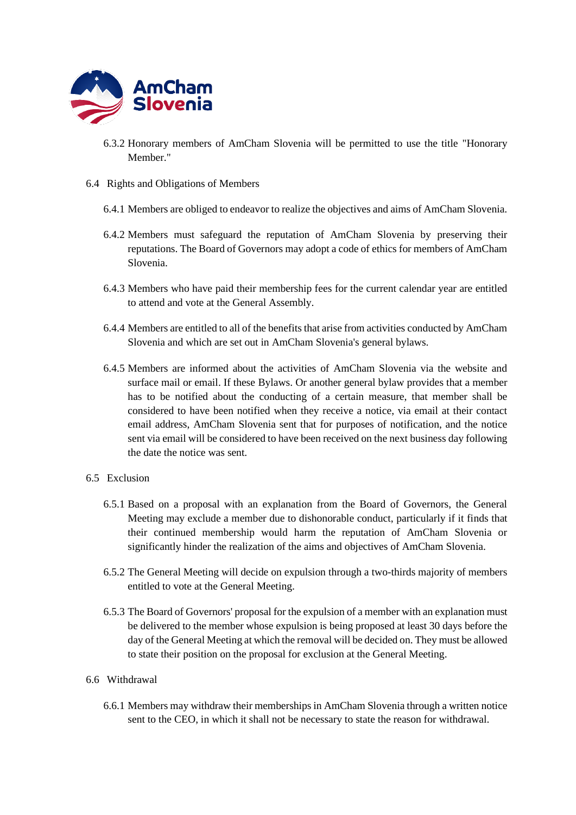

- 6.3.2 Honorary members of AmCham Slovenia will be permitted to use the title "Honorary Member."
- 6.4 Rights and Obligations of Members
	- 6.4.1 Members are obliged to endeavor to realize the objectives and aims of AmCham Slovenia.
	- 6.4.2 Members must safeguard the reputation of AmCham Slovenia by preserving their reputations. The Board of Governors may adopt a code of ethics for members of AmCham Slovenia.
	- 6.4.3 Members who have paid their membership fees for the current calendar year are entitled to attend and vote at the General Assembly.
	- 6.4.4 Members are entitled to all of the benefits that arise from activities conducted by AmCham Slovenia and which are set out in AmCham Slovenia's general bylaws.
	- 6.4.5 Members are informed about the activities of AmCham Slovenia via the website and surface mail or email. If these Bylaws. Or another general bylaw provides that a member has to be notified about the conducting of a certain measure, that member shall be considered to have been notified when they receive a notice, via email at their contact email address, AmCham Slovenia sent that for purposes of notification, and the notice sent via email will be considered to have been received on the next business day following the date the notice was sent.

#### 6.5 Exclusion

- 6.5.1 Based on a proposal with an explanation from the Board of Governors, the General Meeting may exclude a member due to dishonorable conduct, particularly if it finds that their continued membership would harm the reputation of AmCham Slovenia or significantly hinder the realization of the aims and objectives of AmCham Slovenia.
- 6.5.2 The General Meeting will decide on expulsion through a two-thirds majority of members entitled to vote at the General Meeting.
- 6.5.3 The Board of Governors' proposal for the expulsion of a member with an explanation must be delivered to the member whose expulsion is being proposed at least 30 days before the day of the General Meeting at which the removal will be decided on. They must be allowed to state their position on the proposal for exclusion at the General Meeting.

#### 6.6 Withdrawal

6.6.1 Members may withdraw their memberships in AmCham Slovenia through a written notice sent to the CEO, in which it shall not be necessary to state the reason for withdrawal.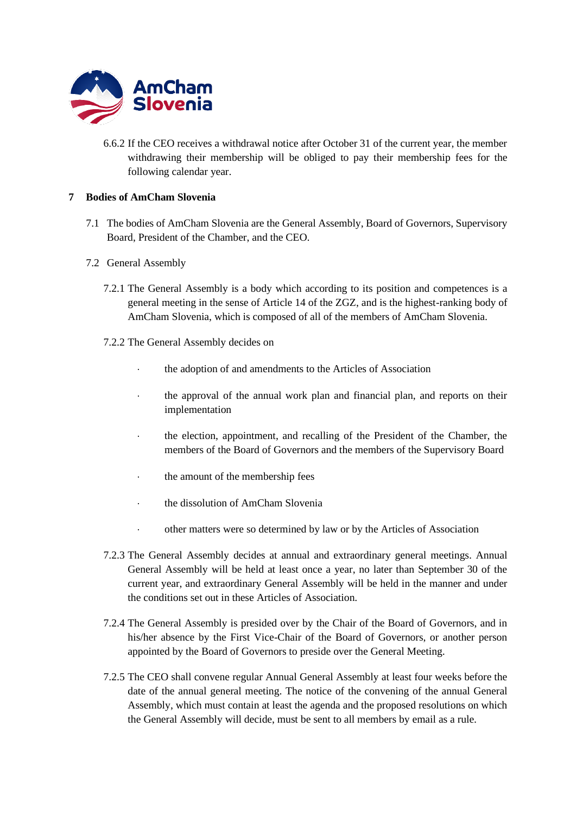

6.6.2 If the CEO receives a withdrawal notice after October 31 of the current year, the member withdrawing their membership will be obliged to pay their membership fees for the following calendar year.

## **7 Bodies of AmCham Slovenia**

- 7.1 The bodies of AmCham Slovenia are the General Assembly, Board of Governors, Supervisory Board, President of the Chamber, and the CEO.
- 7.2 General Assembly
	- 7.2.1 The General Assembly is a body which according to its position and competences is a general meeting in the sense of Article 14 of the ZGZ, and is the highest-ranking body of AmCham Slovenia, which is composed of all of the members of AmCham Slovenia.
	- 7.2.2 The General Assembly decides on
		- the adoption of and amendments to the Articles of Association
		- the approval of the annual work plan and financial plan, and reports on their implementation
		- the election, appointment, and recalling of the President of the Chamber, the members of the Board of Governors and the members of the Supervisory Board
		- $\cdot$  the amount of the membership fees
		- the dissolution of AmCham Slovenia
		- other matters were so determined by law or by the Articles of Association
	- 7.2.3 The General Assembly decides at annual and extraordinary general meetings. Annual General Assembly will be held at least once a year, no later than September 30 of the current year, and extraordinary General Assembly will be held in the manner and under the conditions set out in these Articles of Association.
	- 7.2.4 The General Assembly is presided over by the Chair of the Board of Governors, and in his/her absence by the First Vice-Chair of the Board of Governors, or another person appointed by the Board of Governors to preside over the General Meeting.
	- 7.2.5 The CEO shall convene regular Annual General Assembly at least four weeks before the date of the annual general meeting. The notice of the convening of the annual General Assembly, which must contain at least the agenda and the proposed resolutions on which the General Assembly will decide, must be sent to all members by email as a rule.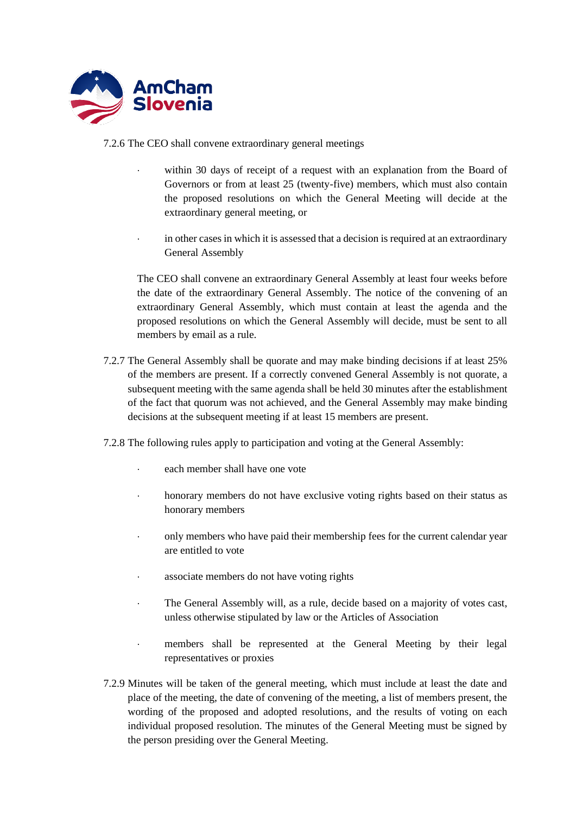

7.2.6 The CEO shall convene extraordinary general meetings

- within 30 days of receipt of a request with an explanation from the Board of Governors or from at least 25 (twenty-five) members, which must also contain the proposed resolutions on which the General Meeting will decide at the extraordinary general meeting, or
- in other cases in which it is assessed that a decision is required at an extraordinary General Assembly

The CEO shall convene an extraordinary General Assembly at least four weeks before the date of the extraordinary General Assembly. The notice of the convening of an extraordinary General Assembly, which must contain at least the agenda and the proposed resolutions on which the General Assembly will decide, must be sent to all members by email as a rule.

7.2.7 The General Assembly shall be quorate and may make binding decisions if at least 25% of the members are present. If a correctly convened General Assembly is not quorate, a subsequent meeting with the same agenda shall be held 30 minutes after the establishment of the fact that quorum was not achieved, and the General Assembly may make binding decisions at the subsequent meeting if at least 15 members are present.

7.2.8 The following rules apply to participation and voting at the General Assembly:

- each member shall have one vote
- honorary members do not have exclusive voting rights based on their status as honorary members
- only members who have paid their membership fees for the current calendar year are entitled to vote
- associate members do not have voting rights
- The General Assembly will, as a rule, decide based on a majority of votes cast, unless otherwise stipulated by law or the Articles of Association
- members shall be represented at the General Meeting by their legal representatives or proxies
- 7.2.9 Minutes will be taken of the general meeting, which must include at least the date and place of the meeting, the date of convening of the meeting, a list of members present, the wording of the proposed and adopted resolutions, and the results of voting on each individual proposed resolution. The minutes of the General Meeting must be signed by the person presiding over the General Meeting.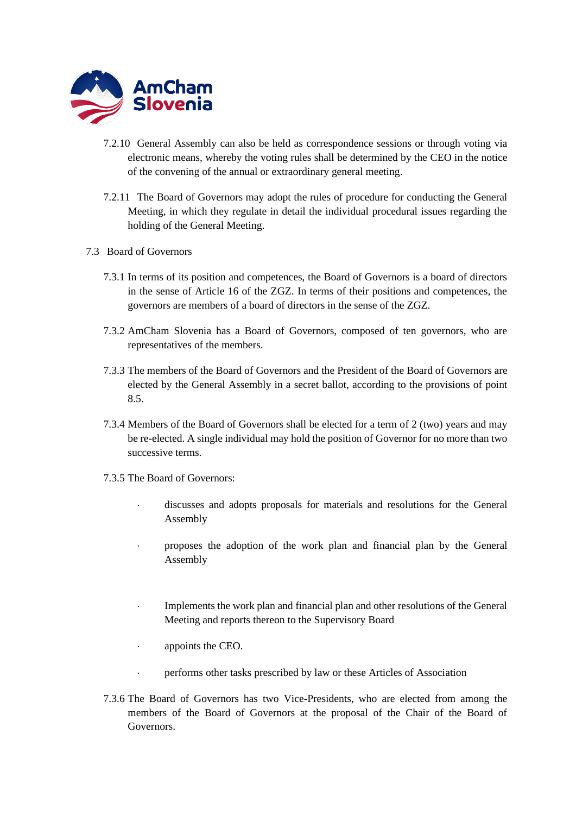

- 7.2.10 General Assembly can also be held as correspondence sessions or through voting via electronic means, whereby the voting rules shall be determined by the CEO in the notice of the convening of the annual or extraordinary general meeting.
- 7.2.11 The Board of Governors may adopt the rules of procedure for conducting the General Meeting, in which they regulate in detail the individual procedural issues regarding the holding of the General Meeting.
- 7.3 Board of Governors
	- 7.3.1 In terms of its position and competences, the Board of Governors is a board of directors in the sense of Article 16 of the ZGZ. In terms of their positions and competences, the governors are members of a board of directors in the sense of the ZGZ.
	- 7.3.2 AmCham Slovenia has a Board of Governors, composed of ten governors, who are representatives of the members.
	- 7.3.3 The members of the Board of Governors and the President of the Board of Governors are elected by the General Assembly in a secret ballot, according to the provisions of point 8.5.
	- 7.3.4 Members of the Board of Governors shall be elected for a term of 2 (two) years and may be re-elected. A single individual may hold the position of Governor for no more than two successive terms.
	- 7.3.5 The Board of Governors:
		- discusses and adopts proposals for materials and resolutions for the General Assembly
		- proposes the adoption of the work plan and financial plan by the General Assembly
		- Implements the work plan and financial plan and other resolutions of the General Meeting and reports thereon to the Supervisory Board
		- appoints the CEO.
		- performs other tasks prescribed by law or these Articles of Association
	- 7.3.6 The Board of Governors has two Vice-Presidents, who are elected from among the members of the Board of Governors at the proposal of the Chair of the Board of Governors.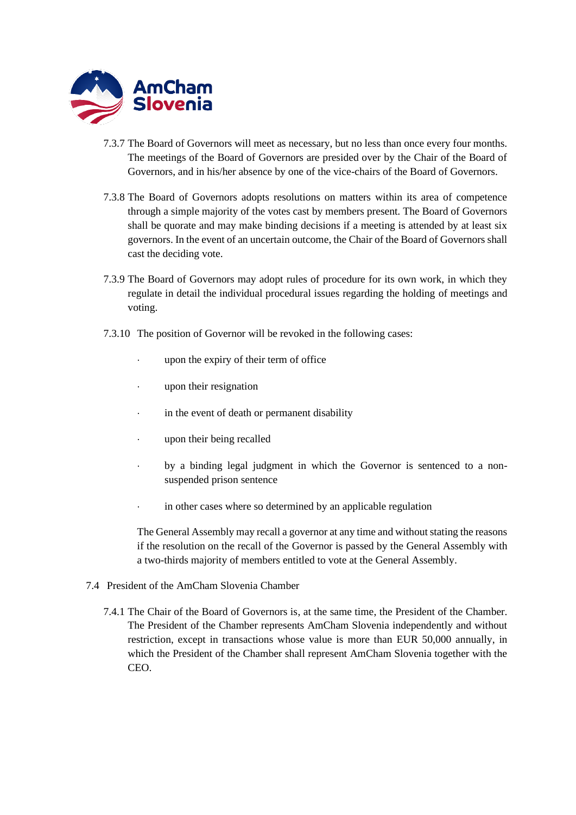

- 7.3.7 The Board of Governors will meet as necessary, but no less than once every four months. The meetings of the Board of Governors are presided over by the Chair of the Board of Governors, and in his/her absence by one of the vice-chairs of the Board of Governors.
- 7.3.8 The Board of Governors adopts resolutions on matters within its area of competence through a simple majority of the votes cast by members present. The Board of Governors shall be quorate and may make binding decisions if a meeting is attended by at least six governors. In the event of an uncertain outcome, the Chair of the Board of Governors shall cast the deciding vote.
- 7.3.9 The Board of Governors may adopt rules of procedure for its own work, in which they regulate in detail the individual procedural issues regarding the holding of meetings and voting.
- 7.3.10 The position of Governor will be revoked in the following cases:
	- upon the expiry of their term of office
	- upon their resignation
	- in the event of death or permanent disability
	- upon their being recalled
	- by a binding legal judgment in which the Governor is sentenced to a nonsuspended prison sentence
	- in other cases where so determined by an applicable regulation

The General Assembly may recall a governor at any time and without stating the reasons if the resolution on the recall of the Governor is passed by the General Assembly with a two-thirds majority of members entitled to vote at the General Assembly.

- 7.4 President of the AmCham Slovenia Chamber
	- 7.4.1 The Chair of the Board of Governors is, at the same time, the President of the Chamber. The President of the Chamber represents AmCham Slovenia independently and without restriction, except in transactions whose value is more than EUR 50,000 annually, in which the President of the Chamber shall represent AmCham Slovenia together with the CEO.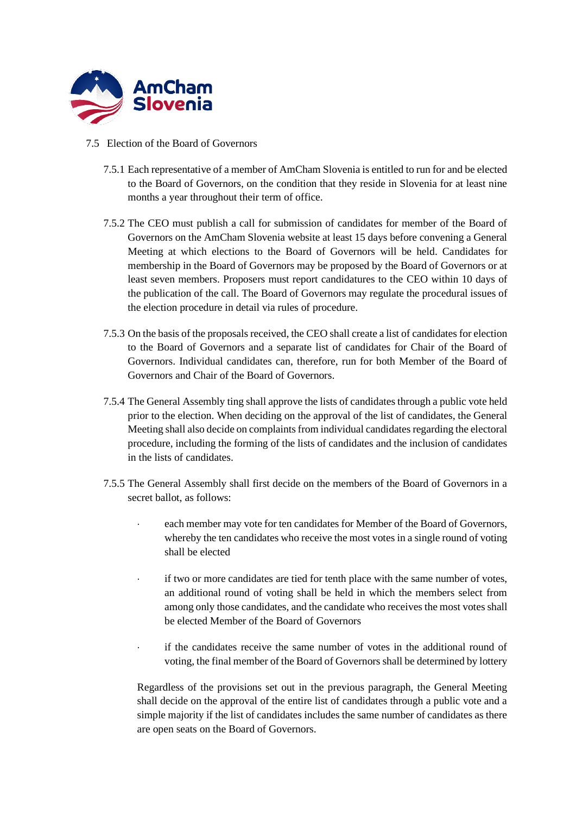

- 7.5 Election of the Board of Governors
	- 7.5.1 Each representative of a member of AmCham Slovenia is entitled to run for and be elected to the Board of Governors, on the condition that they reside in Slovenia for at least nine months a year throughout their term of office.
	- 7.5.2 The CEO must publish a call for submission of candidates for member of the Board of Governors on the AmCham Slovenia website at least 15 days before convening a General Meeting at which elections to the Board of Governors will be held. Candidates for membership in the Board of Governors may be proposed by the Board of Governors or at least seven members. Proposers must report candidatures to the CEO within 10 days of the publication of the call. The Board of Governors may regulate the procedural issues of the election procedure in detail via rules of procedure.
	- 7.5.3 On the basis of the proposals received, the CEO shall create a list of candidates for election to the Board of Governors and a separate list of candidates for Chair of the Board of Governors. Individual candidates can, therefore, run for both Member of the Board of Governors and Chair of the Board of Governors.
	- 7.5.4 The General Assembly ting shall approve the lists of candidates through a public vote held prior to the election. When deciding on the approval of the list of candidates, the General Meeting shall also decide on complaints from individual candidates regarding the electoral procedure, including the forming of the lists of candidates and the inclusion of candidates in the lists of candidates.
	- 7.5.5 The General Assembly shall first decide on the members of the Board of Governors in a secret ballot, as follows:
		- each member may vote for ten candidates for Member of the Board of Governors, whereby the ten candidates who receive the most votes in a single round of voting shall be elected
		- if two or more candidates are tied for tenth place with the same number of votes, an additional round of voting shall be held in which the members select from among only those candidates, and the candidate who receives the most votes shall be elected Member of the Board of Governors
		- if the candidates receive the same number of votes in the additional round of voting, the final member of the Board of Governors shall be determined by lottery

Regardless of the provisions set out in the previous paragraph, the General Meeting shall decide on the approval of the entire list of candidates through a public vote and a simple majority if the list of candidates includes the same number of candidates as there are open seats on the Board of Governors.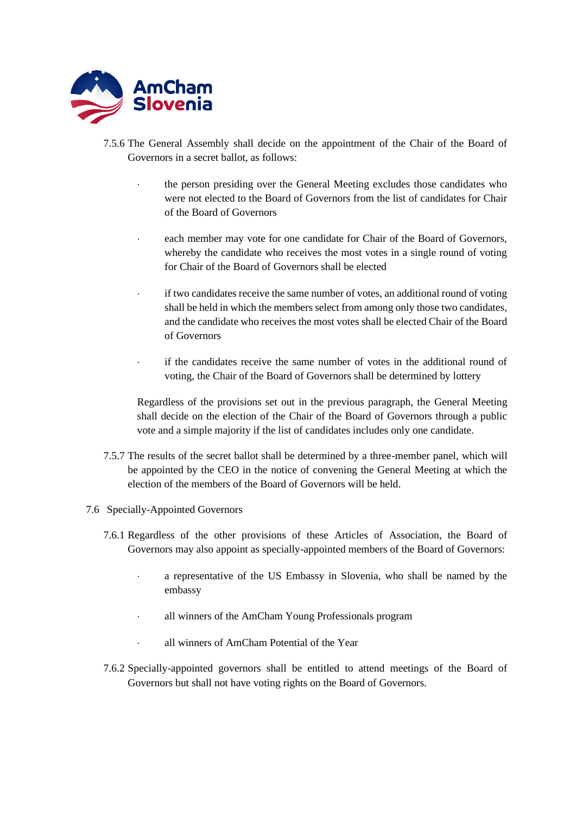

- 7.5.6 The General Assembly shall decide on the appointment of the Chair of the Board of Governors in a secret ballot, as follows:
	- the person presiding over the General Meeting excludes those candidates who were not elected to the Board of Governors from the list of candidates for Chair of the Board of Governors
	- each member may vote for one candidate for Chair of the Board of Governors, whereby the candidate who receives the most votes in a single round of voting for Chair of the Board of Governors shall be elected
	- if two candidates receive the same number of votes, an additional round of voting shall be held in which the members select from among only those two candidates, and the candidate who receives the most votes shall be elected Chair of the Board of Governors
	- if the candidates receive the same number of votes in the additional round of voting, the Chair of the Board of Governors shall be determined by lottery

Regardless of the provisions set out in the previous paragraph, the General Meeting shall decide on the election of the Chair of the Board of Governors through a public vote and a simple majority if the list of candidates includes only one candidate.

- 7.5.7 The results of the secret ballot shall be determined by a three-member panel, which will be appointed by the CEO in the notice of convening the General Meeting at which the election of the members of the Board of Governors will be held.
- 7.6 Specially-Appointed Governors
	- 7.6.1 Regardless of the other provisions of these Articles of Association, the Board of Governors may also appoint as specially-appointed members of the Board of Governors:
		- a representative of the US Embassy in Slovenia, who shall be named by the embassy
		- all winners of the AmCham Young Professionals program
		- all winners of AmCham Potential of the Year
	- 7.6.2 Specially-appointed governors shall be entitled to attend meetings of the Board of Governors but shall not have voting rights on the Board of Governors.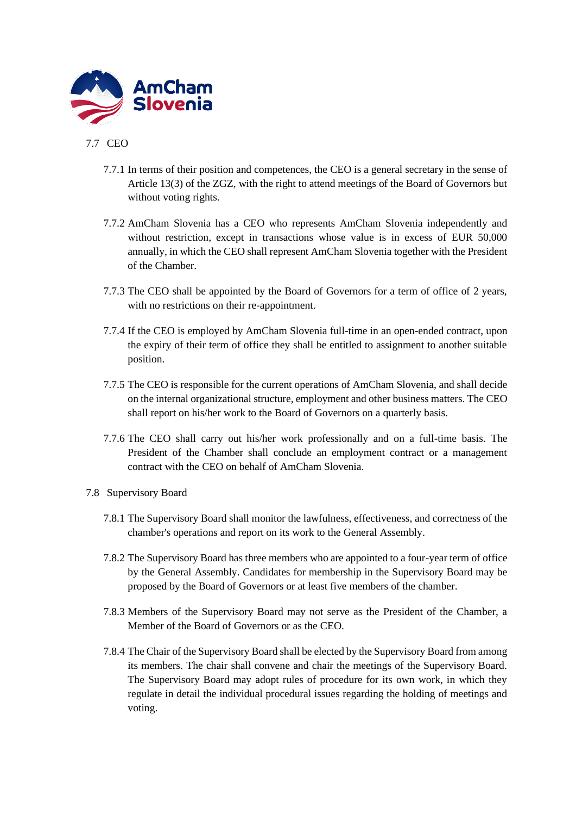

# 7.7 CEO

- 7.7.1 In terms of their position and competences, the CEO is a general secretary in the sense of Article 13(3) of the ZGZ, with the right to attend meetings of the Board of Governors but without voting rights.
- 7.7.2 AmCham Slovenia has a CEO who represents AmCham Slovenia independently and without restriction, except in transactions whose value is in excess of EUR 50,000 annually, in which the CEO shall represent AmCham Slovenia together with the President of the Chamber.
- 7.7.3 The CEO shall be appointed by the Board of Governors for a term of office of 2 years, with no restrictions on their re-appointment.
- 7.7.4 If the CEO is employed by AmCham Slovenia full-time in an open-ended contract, upon the expiry of their term of office they shall be entitled to assignment to another suitable position.
- 7.7.5 The CEO is responsible for the current operations of AmCham Slovenia, and shall decide on the internal organizational structure, employment and other business matters. The CEO shall report on his/her work to the Board of Governors on a quarterly basis.
- 7.7.6 The CEO shall carry out his/her work professionally and on a full-time basis. The President of the Chamber shall conclude an employment contract or a management contract with the CEO on behalf of AmCham Slovenia.
- 7.8 Supervisory Board
	- 7.8.1 The Supervisory Board shall monitor the lawfulness, effectiveness, and correctness of the chamber's operations and report on its work to the General Assembly.
	- 7.8.2 The Supervisory Board has three members who are appointed to a four-year term of office by the General Assembly. Candidates for membership in the Supervisory Board may be proposed by the Board of Governors or at least five members of the chamber.
	- 7.8.3 Members of the Supervisory Board may not serve as the President of the Chamber, a Member of the Board of Governors or as the CEO.
	- 7.8.4 The Chair of the Supervisory Board shall be elected by the Supervisory Board from among its members. The chair shall convene and chair the meetings of the Supervisory Board. The Supervisory Board may adopt rules of procedure for its own work, in which they regulate in detail the individual procedural issues regarding the holding of meetings and voting.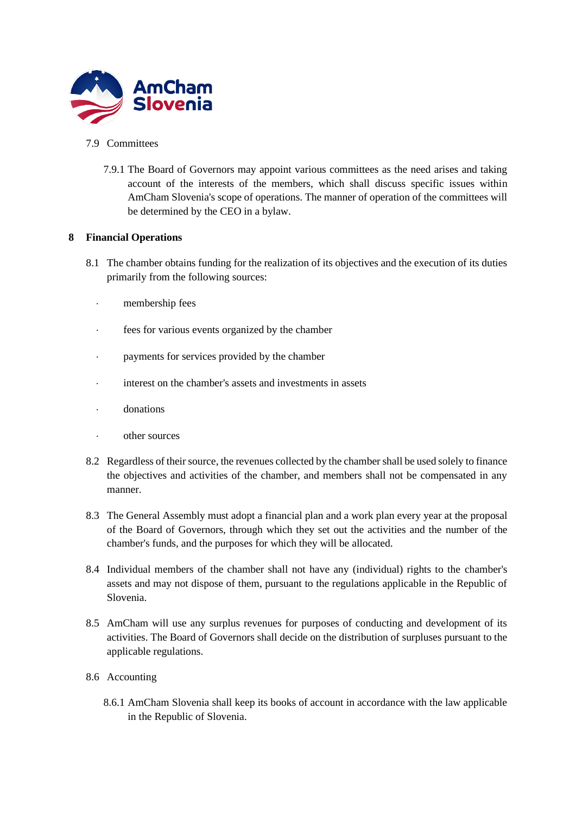

#### 7.9 Committees

7.9.1 The Board of Governors may appoint various committees as the need arises and taking account of the interests of the members, which shall discuss specific issues within AmCham Slovenia's scope of operations. The manner of operation of the committees will be determined by the CEO in a bylaw.

## **8 Financial Operations**

- 8.1 The chamber obtains funding for the realization of its objectives and the execution of its duties primarily from the following sources:
	- membership fees
	- fees for various events organized by the chamber
	- payments for services provided by the chamber
	- interest on the chamber's assets and investments in assets
	- donations
	- other sources
- 8.2 Regardless of their source, the revenues collected by the chamber shall be used solely to finance the objectives and activities of the chamber, and members shall not be compensated in any manner.
- 8.3 The General Assembly must adopt a financial plan and a work plan every year at the proposal of the Board of Governors, through which they set out the activities and the number of the chamber's funds, and the purposes for which they will be allocated.
- 8.4 Individual members of the chamber shall not have any (individual) rights to the chamber's assets and may not dispose of them, pursuant to the regulations applicable in the Republic of Slovenia.
- 8.5 AmCham will use any surplus revenues for purposes of conducting and development of its activities. The Board of Governors shall decide on the distribution of surpluses pursuant to the applicable regulations.
- 8.6 Accounting
	- 8.6.1 AmCham Slovenia shall keep its books of account in accordance with the law applicable in the Republic of Slovenia.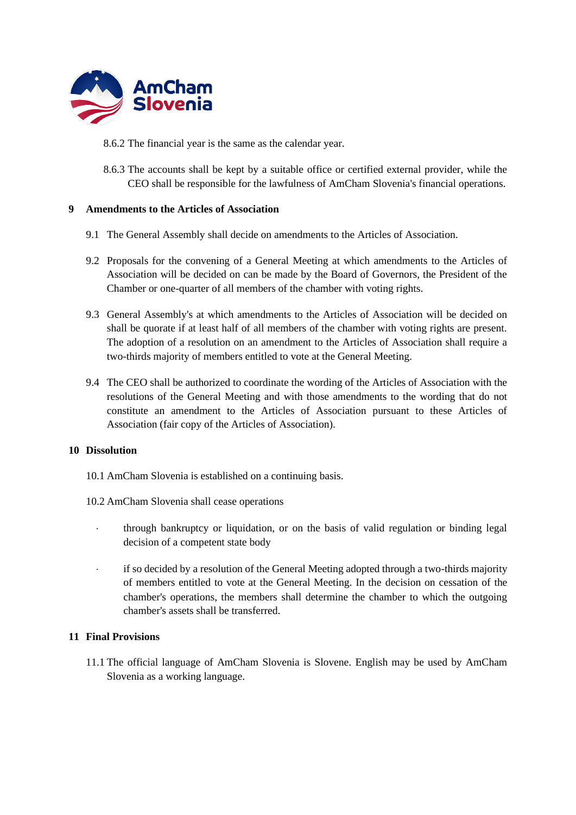

- 8.6.2 The financial year is the same as the calendar year.
- 8.6.3 The accounts shall be kept by a suitable office or certified external provider, while the CEO shall be responsible for the lawfulness of AmCham Slovenia's financial operations.

#### **9 Amendments to the Articles of Association**

- 9.1 The General Assembly shall decide on amendments to the Articles of Association.
- 9.2 Proposals for the convening of a General Meeting at which amendments to the Articles of Association will be decided on can be made by the Board of Governors, the President of the Chamber or one-quarter of all members of the chamber with voting rights.
- 9.3 General Assembly's at which amendments to the Articles of Association will be decided on shall be quorate if at least half of all members of the chamber with voting rights are present. The adoption of a resolution on an amendment to the Articles of Association shall require a two-thirds majority of members entitled to vote at the General Meeting.
- 9.4 The CEO shall be authorized to coordinate the wording of the Articles of Association with the resolutions of the General Meeting and with those amendments to the wording that do not constitute an amendment to the Articles of Association pursuant to these Articles of Association (fair copy of the Articles of Association).

#### **10 Dissolution**

- 10.1 AmCham Slovenia is established on a continuing basis.
- 10.2 AmCham Slovenia shall cease operations
	- through bankruptcy or liquidation, or on the basis of valid regulation or binding legal decision of a competent state body
	- if so decided by a resolution of the General Meeting adopted through a two-thirds majority of members entitled to vote at the General Meeting. In the decision on cessation of the chamber's operations, the members shall determine the chamber to which the outgoing chamber's assets shall be transferred.

#### **11 Final Provisions**

11.1 The official language of AmCham Slovenia is Slovene. English may be used by AmCham Slovenia as a working language.